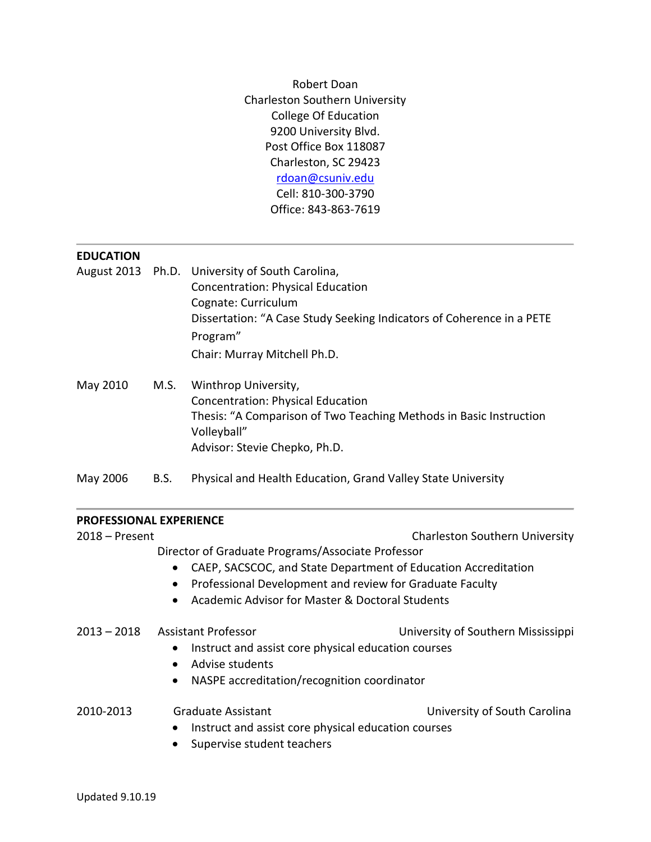Robert Doan Charleston Southern University College Of Education 9200 University Blvd. Post Office Box 118087 Charleston, SC 29423 [rdoan@csuniv.edu](mailto:rdoan@csuniv.edu) Cell: 810-300-3790 Office: 843-863-7619

### **EDUCATION**

- August 2013 Ph.D. University of South Carolina, Concentration: Physical Education Cognate: Curriculum Dissertation: "A Case Study Seeking Indicators of Coherence in a PETE Program" Chair: Murray Mitchell Ph.D.
- May 2010 M.S. Winthrop University, Concentration: Physical Education Thesis: "A Comparison of Two Teaching Methods in Basic Instruction Volleyball" Advisor: Stevie Chepko, Ph.D.
- May 2006 B.S. Physical and Health Education, Grand Valley State University

### **PROFESSIONAL EXPERIENCE**

| $2018 -$ Present                                         |                                                                                                                                                                                              | <b>Charleston Southern University</b> |  |                                                              |                            |                                    |
|----------------------------------------------------------|----------------------------------------------------------------------------------------------------------------------------------------------------------------------------------------------|---------------------------------------|--|--------------------------------------------------------------|----------------------------|------------------------------------|
|                                                          | Director of Graduate Programs/Associate Professor<br>CAEP, SACSCOC, and State Department of Education Accreditation<br>Professional Development and review for Graduate Faculty<br>$\bullet$ |                                       |  |                                                              |                            |                                    |
|                                                          |                                                                                                                                                                                              |                                       |  | Academic Advisor for Master & Doctoral Students<br>$\bullet$ |                            |                                    |
|                                                          |                                                                                                                                                                                              |                                       |  | $2013 - 2018$                                                | <b>Assistant Professor</b> | University of Southern Mississippi |
|                                                          | Instruct and assist core physical education courses<br>$\bullet$                                                                                                                             |                                       |  |                                                              |                            |                                    |
| Advise students<br>$\bullet$                             |                                                                                                                                                                                              |                                       |  |                                                              |                            |                                    |
| NASPE accreditation/recognition coordinator<br>$\bullet$ |                                                                                                                                                                                              |                                       |  |                                                              |                            |                                    |
| 2010-2013                                                | <b>Graduate Assistant</b>                                                                                                                                                                    | University of South Carolina          |  |                                                              |                            |                                    |
|                                                          | Instruct and assist core physical education courses<br>$\bullet$                                                                                                                             |                                       |  |                                                              |                            |                                    |
|                                                          | Supervise student teachers<br>$\bullet$                                                                                                                                                      |                                       |  |                                                              |                            |                                    |
|                                                          |                                                                                                                                                                                              |                                       |  |                                                              |                            |                                    |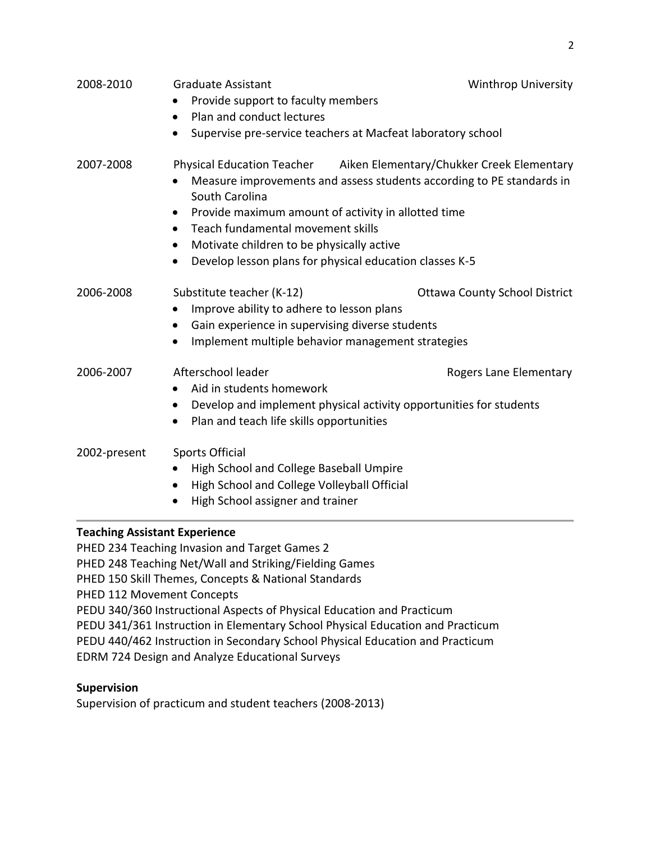| 2008-2010    | <b>Graduate Assistant</b><br>Provide support to faculty members                                                                                                                                                                                   | <b>Winthrop University</b>                                                                                                                    |
|--------------|---------------------------------------------------------------------------------------------------------------------------------------------------------------------------------------------------------------------------------------------------|-----------------------------------------------------------------------------------------------------------------------------------------------|
|              | Plan and conduct lectures<br>$\bullet$                                                                                                                                                                                                            |                                                                                                                                               |
|              | $\bullet$                                                                                                                                                                                                                                         | Supervise pre-service teachers at Macfeat laboratory school                                                                                   |
| 2007-2008    | South Carolina<br>Provide maximum amount of activity in allotted time<br>٠<br>Teach fundamental movement skills<br>$\bullet$<br>Motivate children to be physically active<br>Develop lesson plans for physical education classes K-5<br>$\bullet$ | Physical Education Teacher Aiken Elementary/Chukker Creek Elementary<br>Measure improvements and assess students according to PE standards in |
| 2006-2008    | Substitute teacher (K-12)<br>Improve ability to adhere to lesson plans<br>Gain experience in supervising diverse students<br>$\bullet$<br>Implement multiple behavior management strategies                                                       | <b>Ottawa County School District</b>                                                                                                          |
| 2006-2007    | Afterschool leader<br>Aid in students homework<br>$\bullet$<br>Plan and teach life skills opportunities<br>$\bullet$                                                                                                                              | Rogers Lane Elementary<br>Develop and implement physical activity opportunities for students                                                  |
| 2002-present | <b>Sports Official</b><br>High School and College Baseball Umpire<br>٠<br>High School and College Volleyball Official<br>High School assigner and trainer                                                                                         |                                                                                                                                               |

2

# **Teaching Assistant Experience**

PHED 234 Teaching Invasion and Target Games 2 PHED 248 Teaching Net/Wall and Striking/Fielding Games PHED 150 Skill Themes, Concepts & National Standards PHED 112 Movement Concepts PEDU 340/360 Instructional Aspects of Physical Education and Practicum PEDU 341/361 Instruction in Elementary School Physical Education and Practicum PEDU 440/462 Instruction in Secondary School Physical Education and Practicum EDRM 724 Design and Analyze Educational Surveys

# **Supervision**

Supervision of practicum and student teachers (2008-2013)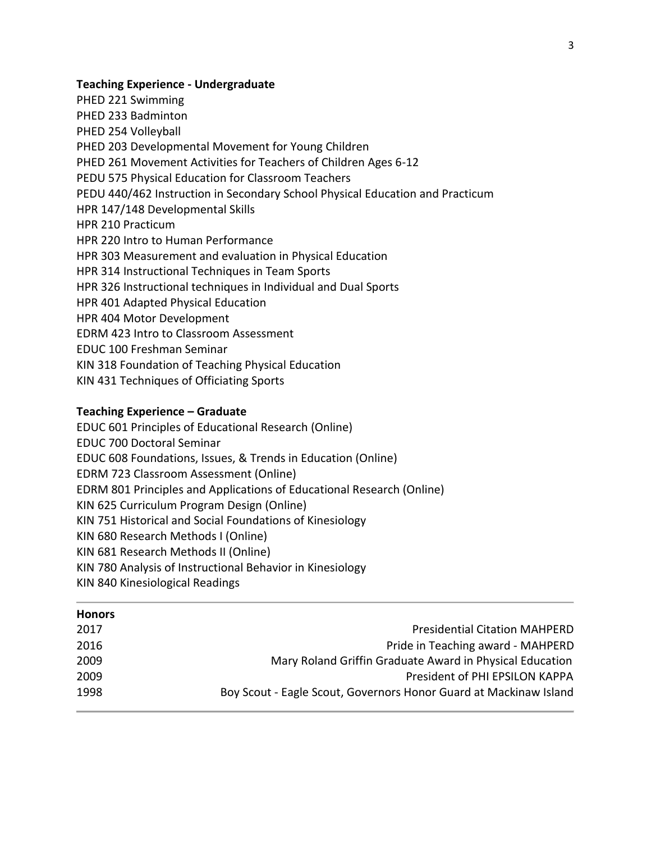## **Teaching Experience - Undergraduate**

PHED 221 Swimming PHED 233 Badminton PHED 254 Volleyball PHED 203 Developmental Movement for Young Children PHED 261 Movement Activities for Teachers of Children Ages 6-12 PEDU 575 Physical Education for Classroom Teachers PEDU 440/462 Instruction in Secondary School Physical Education and Practicum HPR 147/148 Developmental Skills HPR 210 Practicum HPR 220 Intro to Human Performance HPR 303 Measurement and evaluation in Physical Education HPR 314 Instructional Techniques in Team Sports HPR 326 Instructional techniques in Individual and Dual Sports HPR 401 Adapted Physical Education HPR 404 Motor Development EDRM 423 Intro to Classroom Assessment EDUC 100 Freshman Seminar KIN 318 Foundation of Teaching Physical Education KIN 431 Techniques of Officiating Sports

# **Teaching Experience – Graduate**

EDUC 601 Principles of Educational Research (Online) EDUC 700 Doctoral Seminar

EDUC 608 Foundations, Issues, & Trends in Education (Online)

EDRM 723 Classroom Assessment (Online)

EDRM 801 Principles and Applications of Educational Research (Online)

KIN 625 Curriculum Program Design (Online)

KIN 751 Historical and Social Foundations of Kinesiology

KIN 680 Research Methods I (Online)

KIN 681 Research Methods II (Online)

- KIN 780 Analysis of Instructional Behavior in Kinesiology
- KIN 840 Kinesiological Readings

| <b>Honors</b> |                                                                   |
|---------------|-------------------------------------------------------------------|
| 2017          | <b>Presidential Citation MAHPERD</b>                              |
| 2016          | Pride in Teaching award - MAHPERD                                 |
| 2009          | Mary Roland Griffin Graduate Award in Physical Education          |
| 2009          | President of PHI EPSILON KAPPA                                    |
| 1998          | Boy Scout - Eagle Scout, Governors Honor Guard at Mackinaw Island |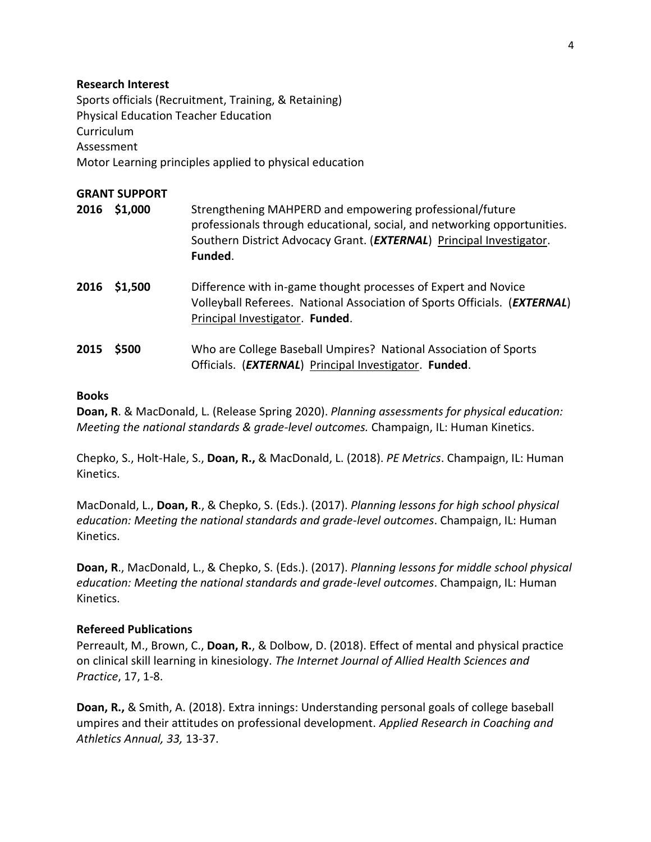### **Research Interest**

Sports officials (Recruitment, Training, & Retaining) Physical Education Teacher Education Curriculum Assessment Motor Learning principles applied to physical education

# **GRANT SUPPORT**

- **2016 \$1,000** Strengthening MAHPERD and empowering professional/future professionals through educational, social, and networking opportunities. Southern District Advocacy Grant. (*EXTERNAL*) Principal Investigator. **Funded**.
- **2016 \$1,500** Difference with in-game thought processes of Expert and Novice Volleyball Referees. National Association of Sports Officials. (*EXTERNAL*) Principal Investigator. **Funded**.
- **2015 \$500** Who are College Baseball Umpires? National Association of Sports Officials. (*EXTERNAL*) Principal Investigator. **Funded**.

### **Books**

**Doan, R**. & MacDonald, L. (Release Spring 2020). *Planning assessments for physical education: Meeting the national standards & grade-level outcomes.* Champaign, IL: Human Kinetics.

Chepko, S., Holt-Hale, S., **Doan, R.,** & MacDonald, L. (2018). *PE Metrics*. Champaign, IL: Human Kinetics.

MacDonald, L., **Doan, R**., & Chepko, S. (Eds.). (2017). *Planning lessons for high school physical education: Meeting the national standards and grade-level outcomes*. Champaign, IL: Human Kinetics.

**Doan, R**., MacDonald, L., & Chepko, S. (Eds.). (2017). *Planning lessons for middle school physical education: Meeting the national standards and grade-level outcomes*. Champaign, IL: Human Kinetics.

# **Refereed Publications**

Perreault, M., Brown, C., **Doan, R.**, & Dolbow, D. (2018). Effect of mental and physical practice on clinical skill learning in kinesiology. *The Internet Journal of Allied Health Sciences and Practice*, 17, 1-8.

**Doan, R.,** & Smith, A. (2018). Extra innings: Understanding personal goals of college baseball umpires and their attitudes on professional development. *Applied Research in Coaching and Athletics Annual, 33,* 13-37.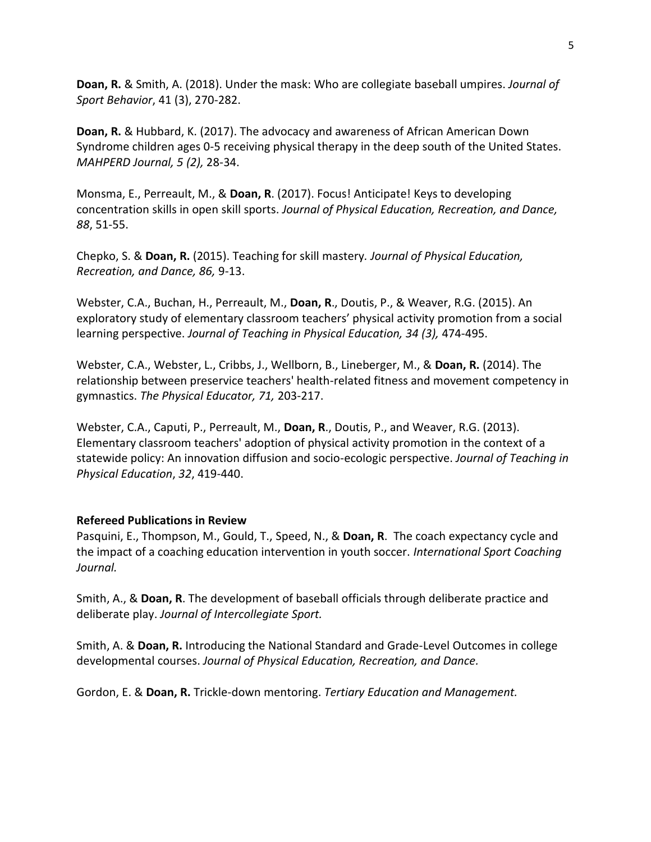**Doan, R.** & Smith, A. (2018). Under the mask: Who are collegiate baseball umpires. *Journal of Sport Behavior*, 41 (3), 270-282.

**Doan, R.** & Hubbard, K. (2017). The advocacy and awareness of African American Down Syndrome children ages 0-5 receiving physical therapy in the deep south of the United States. *MAHPERD Journal, 5 (2),* 28-34.

Monsma, E., Perreault, M., & **Doan, R**. (2017). Focus! Anticipate! Keys to developing concentration skills in open skill sports. *Journal of Physical Education, Recreation, and Dance, 88*, 51-55.

Chepko, S. & **Doan, R.** (2015). Teaching for skill mastery*. Journal of Physical Education, Recreation, and Dance, 86,* 9-13.

Webster, C.A., Buchan, H., Perreault, M., **Doan, R**., Doutis, P., & Weaver, R.G. (2015). An exploratory study of elementary classroom teachers' physical activity promotion from a social learning perspective. *Journal of Teaching in Physical Education, 34 (3),* 474-495.

Webster, C.A., Webster, L., Cribbs, J., Wellborn, B., Lineberger, M., & **Doan, R.** (2014). The relationship between preservice teachers' health-related fitness and movement competency in gymnastics. *The Physical Educator, 71,* 203-217.

Webster, C.A., Caputi, P., Perreault, M., **Doan, R**., Doutis, P., and Weaver, R.G. (2013). Elementary classroom teachers' adoption of physical activity promotion in the context of a statewide policy: An innovation diffusion and socio-ecologic perspective. *Journal of Teaching in Physical Education*, *32*, 419-440.

# **Refereed Publications in Review**

Pasquini, E., Thompson, M., Gould, T., Speed, N., & **Doan, R**. The coach expectancy cycle and the impact of a coaching education intervention in youth soccer. *International Sport Coaching Journal.*

Smith, A., & **Doan, R**. The development of baseball officials through deliberate practice and deliberate play. *Journal of Intercollegiate Sport.*

Smith, A. & **Doan, R.** Introducing the National Standard and Grade-Level Outcomes in college developmental courses. *Journal of Physical Education, Recreation, and Dance.*

Gordon, E. & **Doan, R.** Trickle-down mentoring. *Tertiary Education and Management.*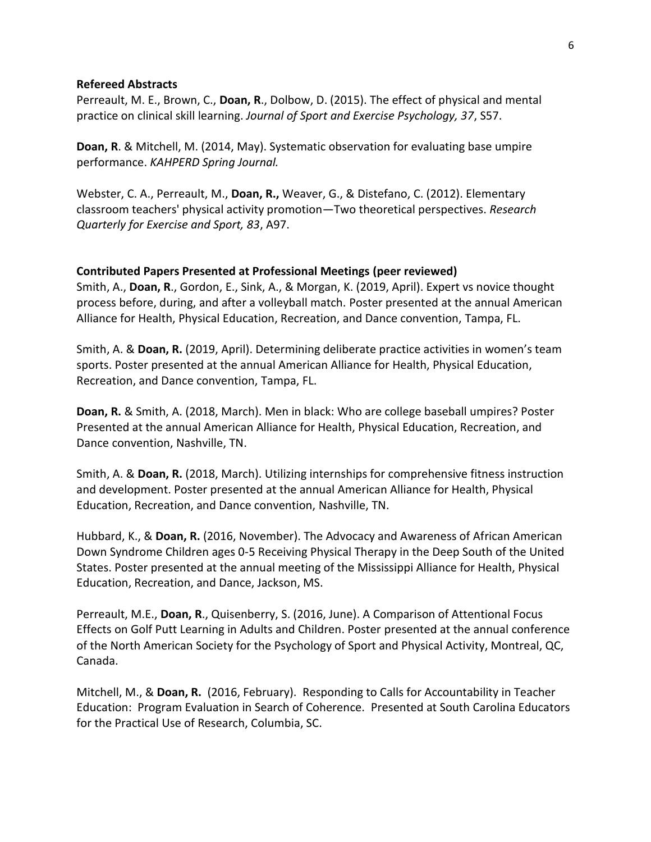### **Refereed Abstracts**

Perreault, M. E., Brown, C., **Doan, R**., Dolbow, D. (2015). The effect of physical and mental practice on clinical skill learning. *Journal of Sport and Exercise Psychology, 37*, S57.

**Doan, R**. & Mitchell, M. (2014, May). Systematic observation for evaluating base umpire performance. *KAHPERD Spring Journal.*

Webster, C. A., Perreault, M., **Doan, R.,** Weaver, G., & Distefano, C. (2012). Elementary classroom teachers' physical activity promotion—Two theoretical perspectives. *Research Quarterly for Exercise and Sport, 83*, A97.

### **Contributed Papers Presented at Professional Meetings (peer reviewed)**

Smith, A., **Doan, R**., Gordon, E., Sink, A., & Morgan, K. (2019, April). Expert vs novice thought process before, during, and after a volleyball match. Poster presented at the annual American Alliance for Health, Physical Education, Recreation, and Dance convention, Tampa, FL.

Smith, A. & **Doan, R.** (2019, April). Determining deliberate practice activities in women's team sports. Poster presented at the annual American Alliance for Health, Physical Education, Recreation, and Dance convention, Tampa, FL.

**Doan, R.** & Smith, A. (2018, March). Men in black: Who are college baseball umpires? Poster Presented at the annual American Alliance for Health, Physical Education, Recreation, and Dance convention, Nashville, TN.

Smith, A. & **Doan, R.** (2018, March). Utilizing internships for comprehensive fitness instruction and development. Poster presented at the annual American Alliance for Health, Physical Education, Recreation, and Dance convention, Nashville, TN.

Hubbard, K., & **Doan, R.** (2016, November). The Advocacy and Awareness of African American Down Syndrome Children ages 0-5 Receiving Physical Therapy in the Deep South of the United States. Poster presented at the annual meeting of the Mississippi Alliance for Health, Physical Education, Recreation, and Dance, Jackson, MS.

Perreault, M.E., **Doan, R**., Quisenberry, S. (2016, June). A Comparison of Attentional Focus Effects on Golf Putt Learning in Adults and Children. Poster presented at the annual conference of the North American Society for the Psychology of Sport and Physical Activity, Montreal, QC, Canada.

Mitchell, M., & **Doan, R.** (2016, February). Responding to Calls for Accountability in Teacher Education: Program Evaluation in Search of Coherence. Presented at South Carolina Educators for the Practical Use of Research, Columbia, SC.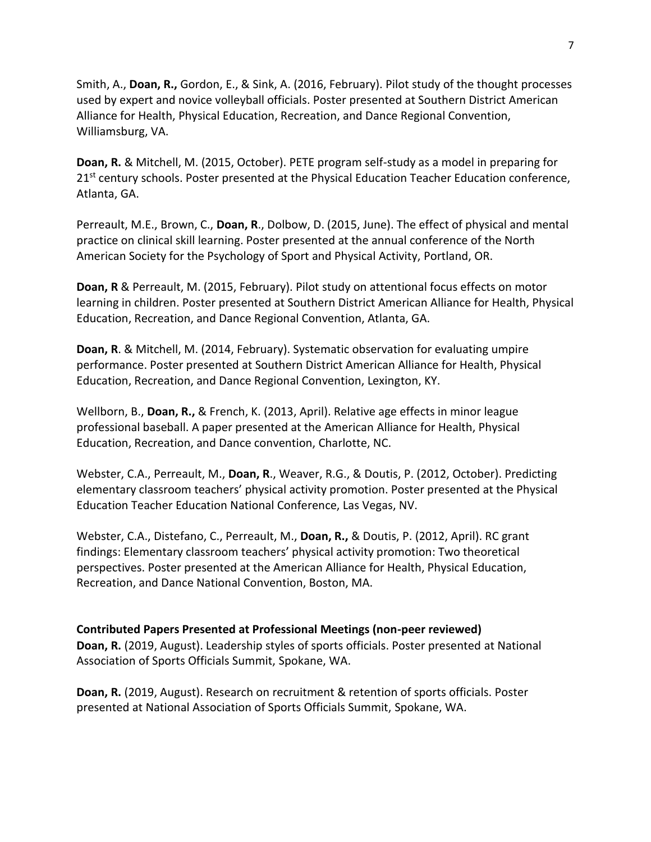Smith, A., **Doan, R.,** Gordon, E., & Sink, A. (2016, February). Pilot study of the thought processes used by expert and novice volleyball officials. Poster presented at Southern District American Alliance for Health, Physical Education, Recreation, and Dance Regional Convention, Williamsburg, VA.

**Doan, R.** & Mitchell, M. (2015, October). PETE program self-study as a model in preparing for 21<sup>st</sup> century schools. Poster presented at the Physical Education Teacher Education conference, Atlanta, GA.

Perreault, M.E., Brown, C., **Doan, R**., Dolbow, D. (2015, June). The effect of physical and mental practice on clinical skill learning. Poster presented at the annual conference of the North American Society for the Psychology of Sport and Physical Activity, Portland, OR.

**Doan, R** & Perreault, M. (2015, February). Pilot study on attentional focus effects on motor learning in children. Poster presented at Southern District American Alliance for Health, Physical Education, Recreation, and Dance Regional Convention, Atlanta, GA.

**Doan, R**. & Mitchell, M. (2014, February). Systematic observation for evaluating umpire performance. Poster presented at Southern District American Alliance for Health, Physical Education, Recreation, and Dance Regional Convention, Lexington, KY.

Wellborn, B., **Doan, R.,** & French, K. (2013, April). Relative age effects in minor league professional baseball. A paper presented at the American Alliance for Health, Physical Education, Recreation, and Dance convention, Charlotte, NC.

Webster, C.A., Perreault, M., **Doan, R**., Weaver, R.G., & Doutis, P. (2012, October). Predicting elementary classroom teachers' physical activity promotion. Poster presented at the Physical Education Teacher Education National Conference, Las Vegas, NV.

Webster, C.A., Distefano, C., Perreault, M., **Doan, R.,** & Doutis, P. (2012, April). RC grant findings: Elementary classroom teachers' physical activity promotion: Two theoretical perspectives. Poster presented at the American Alliance for Health, Physical Education, Recreation, and Dance National Convention, Boston, MA.

# **Contributed Papers Presented at Professional Meetings (non-peer reviewed)**

**Doan, R.** (2019, August). Leadership styles of sports officials. Poster presented at National Association of Sports Officials Summit, Spokane, WA.

**Doan, R.** (2019, August). Research on recruitment & retention of sports officials. Poster presented at National Association of Sports Officials Summit, Spokane, WA.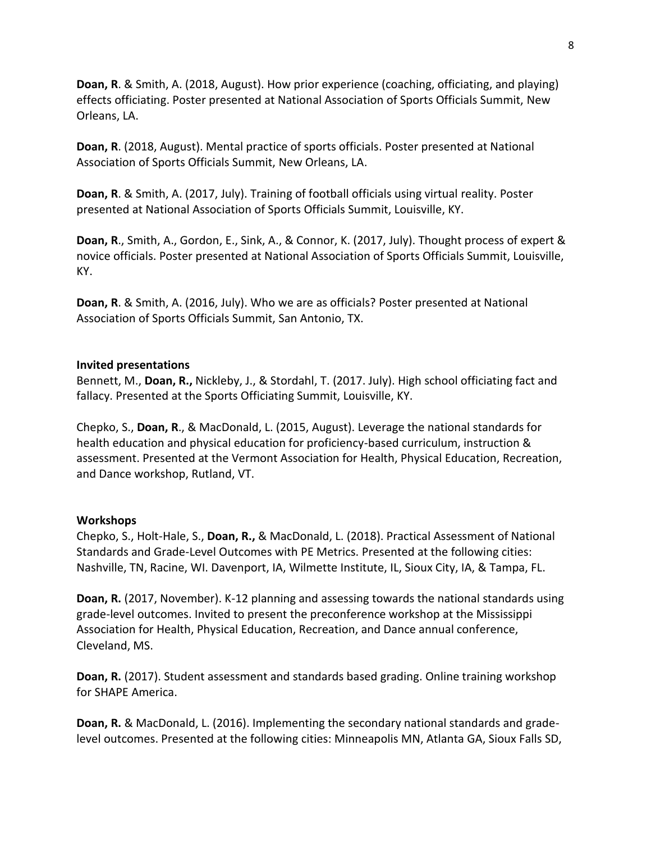**Doan, R**. & Smith, A. (2018, August). How prior experience (coaching, officiating, and playing) effects officiating. Poster presented at National Association of Sports Officials Summit, New Orleans, LA.

**Doan, R**. (2018, August). Mental practice of sports officials. Poster presented at National Association of Sports Officials Summit, New Orleans, LA.

**Doan, R**. & Smith, A. (2017, July). Training of football officials using virtual reality. Poster presented at National Association of Sports Officials Summit, Louisville, KY.

**Doan, R**., Smith, A., Gordon, E., Sink, A., & Connor, K. (2017, July). Thought process of expert & novice officials. Poster presented at National Association of Sports Officials Summit, Louisville, KY.

**Doan, R**. & Smith, A. (2016, July). Who we are as officials? Poster presented at National Association of Sports Officials Summit, San Antonio, TX.

## **Invited presentations**

Bennett, M., **Doan, R.,** Nickleby, J., & Stordahl, T. (2017. July). High school officiating fact and fallacy. Presented at the Sports Officiating Summit, Louisville, KY.

Chepko, S., **Doan, R**., & MacDonald, L. (2015, August). Leverage the national standards for health education and physical education for proficiency-based curriculum, instruction & assessment. Presented at the Vermont Association for Health, Physical Education, Recreation, and Dance workshop, Rutland, VT.

### **Workshops**

Chepko, S., Holt-Hale, S., **Doan, R.,** & MacDonald, L. (2018). Practical Assessment of National Standards and Grade-Level Outcomes with PE Metrics. Presented at the following cities: Nashville, TN, Racine, WI. Davenport, IA, Wilmette Institute, IL, Sioux City, IA, & Tampa, FL.

**Doan, R.** (2017, November). K-12 planning and assessing towards the national standards using grade-level outcomes. Invited to present the preconference workshop at the Mississippi Association for Health, Physical Education, Recreation, and Dance annual conference, Cleveland, MS.

**Doan, R.** (2017). Student assessment and standards based grading. Online training workshop for SHAPE America.

**Doan, R.** & MacDonald, L. (2016). Implementing the secondary national standards and gradelevel outcomes. Presented at the following cities: Minneapolis MN, Atlanta GA, Sioux Falls SD,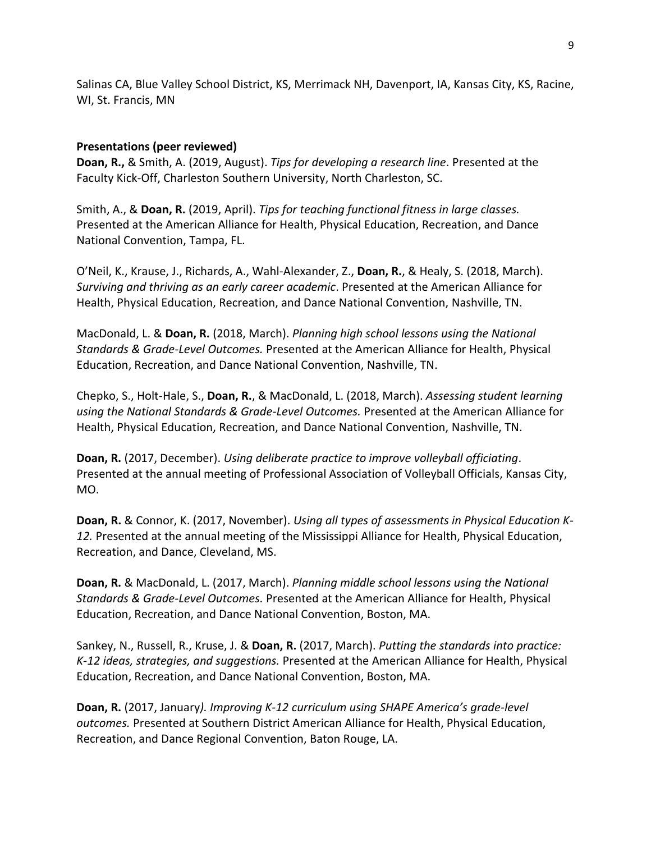Salinas CA, Blue Valley School District, KS, Merrimack NH, Davenport, IA, Kansas City, KS, Racine, WI, St. Francis, MN

# **Presentations (peer reviewed)**

**Doan, R.,** & Smith, A. (2019, August). *Tips for developing a research line*. Presented at the Faculty Kick-Off, Charleston Southern University, North Charleston, SC.

Smith, A., & **Doan, R.** (2019, April). *Tips for teaching functional fitness in large classes.* Presented at the American Alliance for Health, Physical Education, Recreation, and Dance National Convention, Tampa, FL.

O'Neil, K., Krause, J., Richards, A., Wahl-Alexander, Z., **Doan, R.**, & Healy, S. (2018, March). *Surviving and thriving as an early career academic*. Presented at the American Alliance for Health, Physical Education, Recreation, and Dance National Convention, Nashville, TN.

MacDonald, L. & **Doan, R.** (2018, March). *Planning high school lessons using the National Standards & Grade-Level Outcomes.* Presented at the American Alliance for Health, Physical Education, Recreation, and Dance National Convention, Nashville, TN.

Chepko, S., Holt-Hale, S., **Doan, R.**, & MacDonald, L. (2018, March). *Assessing student learning using the National Standards & Grade-Level Outcomes.* Presented at the American Alliance for Health, Physical Education, Recreation, and Dance National Convention, Nashville, TN.

**Doan, R.** (2017, December). *Using deliberate practice to improve volleyball officiating*. Presented at the annual meeting of Professional Association of Volleyball Officials, Kansas City, MO.

**Doan, R.** & Connor, K. (2017, November). *Using all types of assessments in Physical Education K-12.* Presented at the annual meeting of the Mississippi Alliance for Health, Physical Education, Recreation, and Dance, Cleveland, MS.

**Doan, R.** & MacDonald, L. (2017, March). *Planning middle school lessons using the National Standards & Grade-Level Outcomes.* Presented at the American Alliance for Health, Physical Education, Recreation, and Dance National Convention, Boston, MA.

Sankey, N., Russell, R., Kruse, J. & **Doan, R.** (2017, March). *Putting the standards into practice: K-12 ideas, strategies, and suggestions.* Presented at the American Alliance for Health, Physical Education, Recreation, and Dance National Convention, Boston, MA.

**Doan, R.** (2017, January*). Improving K-12 curriculum using SHAPE America's grade-level outcomes.* Presented at Southern District American Alliance for Health, Physical Education, Recreation, and Dance Regional Convention, Baton Rouge, LA.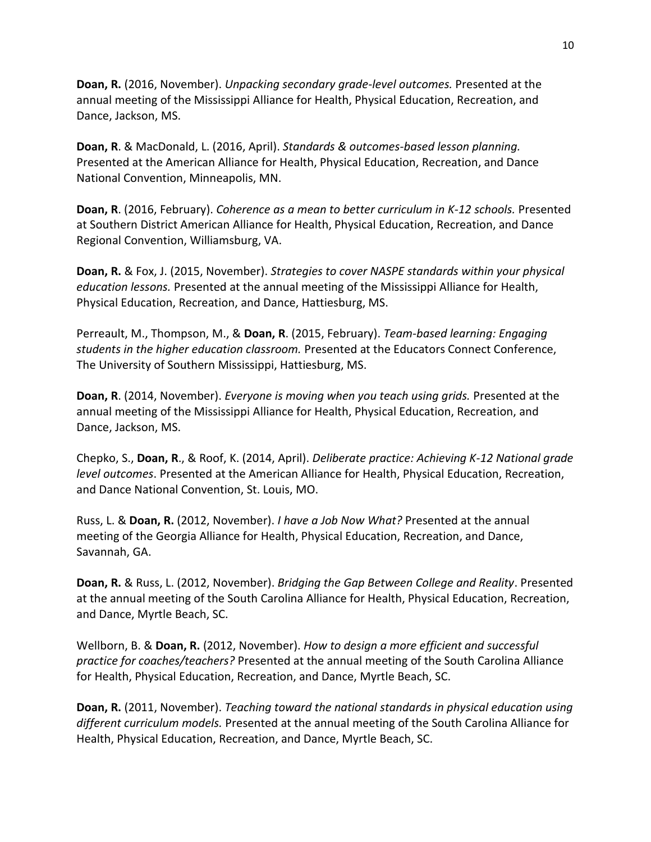**Doan, R.** (2016, November). *Unpacking secondary grade-level outcomes.* Presented at the annual meeting of the Mississippi Alliance for Health, Physical Education, Recreation, and Dance, Jackson, MS.

**Doan, R**. & MacDonald, L. (2016, April). *Standards & outcomes-based lesson planning.* Presented at the American Alliance for Health, Physical Education, Recreation, and Dance National Convention, Minneapolis, MN.

**Doan, R**. (2016, February). *Coherence as a mean to better curriculum in K-12 schools.* Presented at Southern District American Alliance for Health, Physical Education, Recreation, and Dance Regional Convention, Williamsburg, VA.

**Doan, R.** & Fox, J. (2015, November). *Strategies to cover NASPE standards within your physical education lessons.* Presented at the annual meeting of the Mississippi Alliance for Health, Physical Education, Recreation, and Dance, Hattiesburg, MS.

Perreault, M., Thompson, M., & **Doan, R**. (2015, February). *Team-based learning: Engaging students in the higher education classroom.* Presented at the Educators Connect Conference, The University of Southern Mississippi, Hattiesburg, MS.

**Doan, R**. (2014, November). *Everyone is moving when you teach using grids.* Presented at the annual meeting of the Mississippi Alliance for Health, Physical Education, Recreation, and Dance, Jackson, MS.

Chepko, S., **Doan, R**., & Roof, K. (2014, April). *Deliberate practice: Achieving K-12 National grade level outcomes*. Presented at the American Alliance for Health, Physical Education, Recreation, and Dance National Convention, St. Louis, MO.

Russ, L. & **Doan, R.** (2012, November). *I have a Job Now What?* Presented at the annual meeting of the Georgia Alliance for Health, Physical Education, Recreation, and Dance, Savannah, GA.

**Doan, R.** & Russ, L. (2012, November). *Bridging the Gap Between College and Reality*. Presented at the annual meeting of the South Carolina Alliance for Health, Physical Education, Recreation, and Dance, Myrtle Beach, SC.

Wellborn, B. & **Doan, R.** (2012, November). *How to design a more efficient and successful practice for coaches/teachers?* Presented at the annual meeting of the South Carolina Alliance for Health, Physical Education, Recreation, and Dance, Myrtle Beach, SC.

**Doan, R.** (2011, November). *Teaching toward the national standards in physical education using different curriculum models.* Presented at the annual meeting of the South Carolina Alliance for Health, Physical Education, Recreation, and Dance, Myrtle Beach, SC.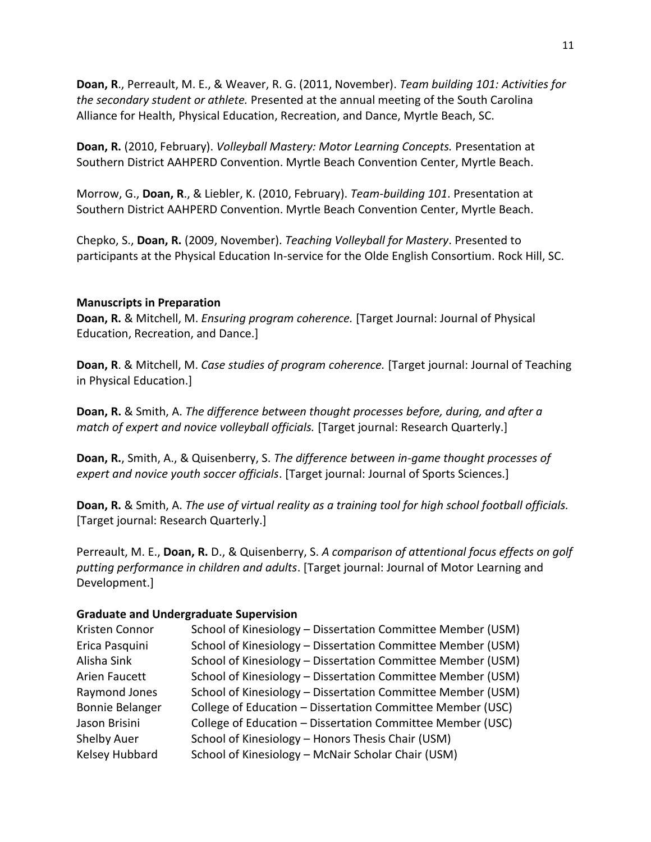**Doan, R**., Perreault, M. E., & Weaver, R. G. (2011, November). *Team building 101: Activities for the secondary student or athlete.* Presented at the annual meeting of the South Carolina Alliance for Health, Physical Education, Recreation, and Dance, Myrtle Beach, SC.

**Doan, R.** (2010, February). *Volleyball Mastery: Motor Learning Concepts.* Presentation at Southern District AAHPERD Convention. Myrtle Beach Convention Center, Myrtle Beach.

Morrow, G., **Doan, R**., & Liebler, K. (2010, February). *Team-building 101*. Presentation at Southern District AAHPERD Convention. Myrtle Beach Convention Center, Myrtle Beach.

Chepko, S., **Doan, R.** (2009, November). *Teaching Volleyball for Mastery*. Presented to participants at the Physical Education In-service for the Olde English Consortium. Rock Hill, SC.

## **Manuscripts in Preparation**

**Doan, R.** & Mitchell, M. *Ensuring program coherence.* [Target Journal: Journal of Physical Education, Recreation, and Dance.]

**Doan, R**. & Mitchell, M. *Case studies of program coherence.* [Target journal: Journal of Teaching in Physical Education.]

**Doan, R.** & Smith, A. *The difference between thought processes before, during, and after a match of expert and novice volleyball officials.* [Target journal: Research Quarterly.]

**Doan, R.**, Smith, A., & Quisenberry, S. *The difference between in-game thought processes of expert and novice youth soccer officials*. [Target journal: Journal of Sports Sciences.]

**Doan, R.** & Smith, A. *The use of virtual reality as a training tool for high school football officials.* [Target journal: Research Quarterly.]

Perreault, M. E., **Doan, R.** D., & Quisenberry, S. *A comparison of attentional focus effects on golf putting performance in children and adults*. [Target journal: Journal of Motor Learning and Development.]

# **Graduate and Undergraduate Supervision**

| Kristen Connor         | School of Kinesiology - Dissertation Committee Member (USM) |
|------------------------|-------------------------------------------------------------|
| Erica Pasquini         | School of Kinesiology - Dissertation Committee Member (USM) |
| Alisha Sink            | School of Kinesiology - Dissertation Committee Member (USM) |
| Arien Faucett          | School of Kinesiology - Dissertation Committee Member (USM) |
| Raymond Jones          | School of Kinesiology - Dissertation Committee Member (USM) |
| <b>Bonnie Belanger</b> | College of Education - Dissertation Committee Member (USC)  |
| Jason Brisini          | College of Education - Dissertation Committee Member (USC)  |
| Shelby Auer            | School of Kinesiology - Honors Thesis Chair (USM)           |
| Kelsey Hubbard         | School of Kinesiology - McNair Scholar Chair (USM)          |